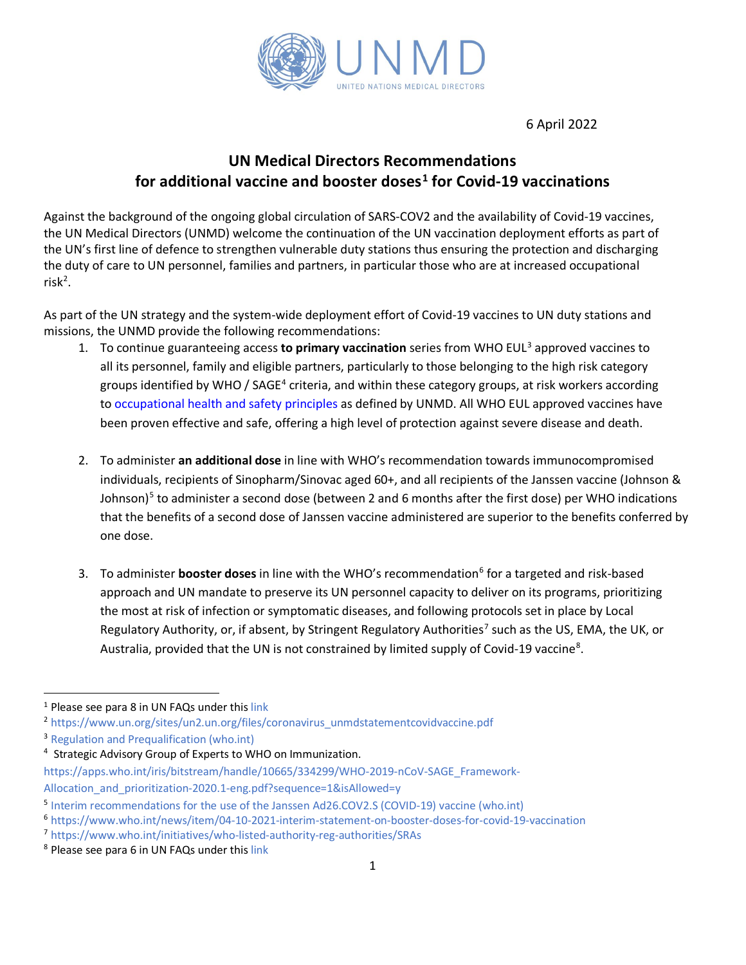

6 April 2022

# **UN Medical Directors Recommendations for additional vaccine and booster doses[1](#page-0-0) for Covid-19 vaccinations**

Against the background of the ongoing global circulation of SARS-COV2 and the availability of Covid-19 vaccines, the UN Medical Directors (UNMD) welcome the continuation of the UN vaccination deployment efforts as part of the UN's first line of defence to strengthen vulnerable duty stations thus ensuring the protection and discharging the duty of care to UN personnel, families and partners, in particular those who are at increased occupational  $risk^2$  $risk^2$ .

As part of the UN strategy and the system-wide deployment effort of Covid-19 vaccines to UN duty stations and missions, the UNMD provide the following recommendations:

- 1. To continue guaranteeing access **to primary vaccination** series from WHO EUL[3](#page-0-2) approved vaccines to all its personnel, family and eligible partners, particularly to those belonging to the high risk category groups identified by WHO / SAGE<sup>[4](#page-0-3)</sup> criteria, and within these category groups, at risk workers according to [occupational health and safety principles](https://www.un.org/sites/un2.un.org/files/unmd_un_covid19_vaccine_occupational_risk_groups_prioritization.pdf) as defined by UNMD. All WHO EUL approved vaccines have been proven effective and safe, offering a high level of protection against severe disease and death.
- 2. To administer **an additional dose** in line with WHO's recommendation towards immunocompromised individuals, recipients of Sinopharm/Sinovac aged 60+, and all recipients of the Janssen vaccine (Johnson & Johnson)<sup>[5](#page-0-4)</sup> to administer a second dose (between 2 and 6 months after the first dose) per WHO indications that the benefits of a second dose of Janssen vaccine administered are superior to the benefits conferred by one dose.
- 3. To administer **booster doses** in line with the WHO's recommendation<sup>[6](#page-0-5)</sup> for a targeted and risk-based approach and UN mandate to preserve its UN personnel capacity to deliver on its programs, prioritizing the most at risk of infection or symptomatic diseases, and following protocols set in place by Local Regulatory Authority, or, if absent, by Stringent Regulatory Authorities<sup>[7](#page-0-6)</sup> such as the US, EMA, the UK, or Australia, provided that the UN is not constrained by limited supply of Covid-19 vaccine<sup>[8](#page-0-7)</sup>.

<span id="page-0-1"></span><sup>2</sup> [https://www.un.org/sites/un2.un.org/files/coronavirus\\_unmdstatementcovidvaccine.pdf](https://www.un.org/sites/un2.un.org/files/coronavirus_unmdstatementcovidvaccine.pdf)

<span id="page-0-0"></span><sup>&</sup>lt;sup>1</sup> Please see para 8 in UN FAQs under thi[s link](https://www.un.org/sites/un2.un.org/files/coronavirus_vaccinefaq.pdf)

<span id="page-0-2"></span><sup>&</sup>lt;sup>3</sup> [Regulation and Prequalification \(who.int\)](https://www.who.int/teams/regulation-prequalification/eul/covid-19)

<span id="page-0-3"></span><sup>&</sup>lt;sup>4</sup> Strategic Advisory Group of Experts to WHO on Immunization.

[https://apps.who.int/iris/bitstream/handle/10665/334299/WHO-2019-nCoV-SAGE\\_Framework-](https://apps.who.int/iris/bitstream/handle/10665/334299/WHO-2019-nCoV-SAGE_Framework-Allocation_and_prioritization-2020.1-eng.pdf?sequence=1&isAllowed=y)

Allocation and prioritization-2020.1-eng.pdf?sequence=1&isAllowed=y

<span id="page-0-4"></span><sup>5</sup> [Interim recommendations for the use of the Janssen Ad26.COV2.S \(COVID-19\) vaccine \(who.int\)](https://www.who.int/publications/i/item/WHO-2019-nCoV-vaccines-SAGE-recommendation-Ad26.COV2.S-2021.1)

<span id="page-0-5"></span><sup>6</sup> <https://www.who.int/news/item/04-10-2021-interim-statement-on-booster-doses-for-covid-19-vaccination>

<span id="page-0-6"></span><sup>7</sup> <https://www.who.int/initiatives/who-listed-authority-reg-authorities/SRAs>

<span id="page-0-7"></span><sup>8</sup> Please see para 6 in UN FAQs under this [link](https://www.un.org/sites/un2.un.org/files/coronavirus_vaccinefaq.pdf)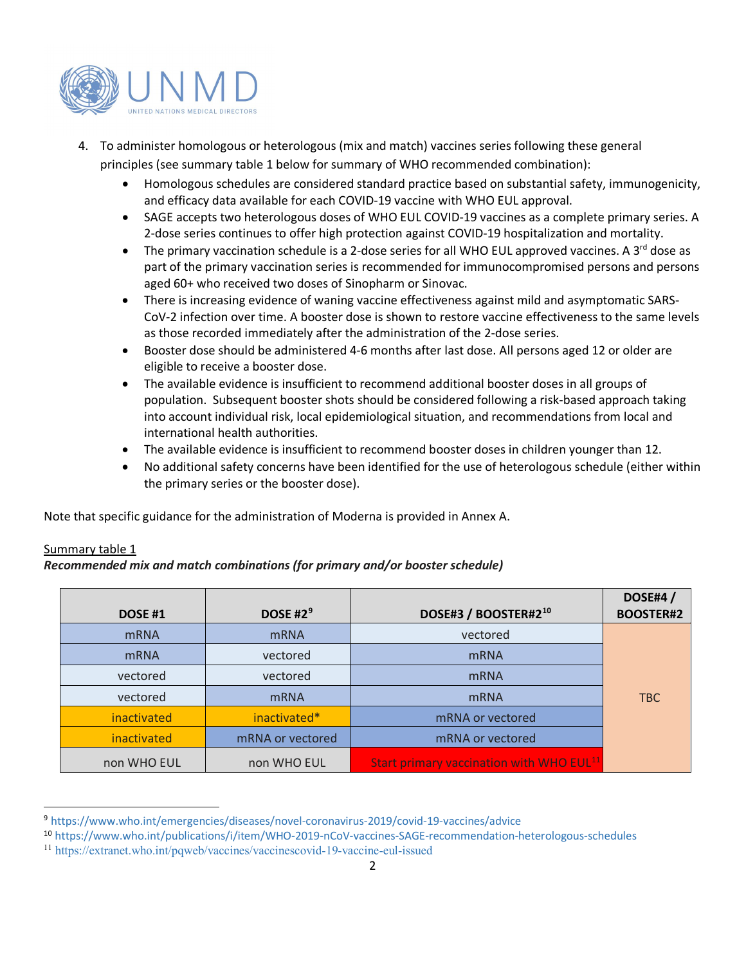

- 4. To administer homologous or heterologous (mix and match) vaccines series following these general principles (see summary table 1 below for summary of WHO recommended combination):
	- Homologous schedules are considered standard practice based on substantial safety, immunogenicity, and efficacy data available for each COVID-19 vaccine with WHO EUL approval.
	- SAGE accepts two heterologous doses of WHO EUL COVID-19 vaccines as a complete primary series. A 2-dose series continues to offer high protection against COVID-19 hospitalization and mortality.
	- The primary vaccination schedule is a 2-dose series for all WHO EUL approved vaccines. A 3<sup>rd</sup> dose as part of the primary vaccination series is recommended for immunocompromised persons and persons aged 60+ who received two doses of Sinopharm or Sinovac.
	- There is increasing evidence of waning vaccine effectiveness against mild and asymptomatic SARS-CoV-2 infection over time. A booster dose is shown to restore vaccine effectiveness to the same levels as those recorded immediately after the administration of the 2-dose series.
	- Booster dose should be administered 4-6 months after last dose. All persons aged 12 or older are eligible to receive a booster dose.
	- The available evidence is insufficient to recommend additional booster doses in all groups of population. Subsequent booster shots should be considered following a risk-based approach taking into account individual risk, local epidemiological situation, and recommendations from local and international health authorities.
	- The available evidence is insufficient to recommend booster doses in children younger than 12.
	- No additional safety concerns have been identified for the use of heterologous schedule (either within the primary series or the booster dose).

Note that specific guidance for the administration of Moderna is provided in Annex A.

## Summary table 1

## *Recommended mix and match combinations (for primary and/or booster schedule)*

| <b>DOSE #1</b> | DOSE #2 <sup>9</sup>             | DOSE#3 / BOOSTER#2 <sup>10</sup>                     | <b>DOSE#4/</b><br><b>BOOSTER#2</b> |  |
|----------------|----------------------------------|------------------------------------------------------|------------------------------------|--|
| <b>mRNA</b>    | <b>mRNA</b>                      | vectored                                             |                                    |  |
| <b>mRNA</b>    | vectored                         | <b>mRNA</b>                                          |                                    |  |
| vectored       | vectored                         | <b>mRNA</b>                                          |                                    |  |
| vectored       | <b>mRNA</b>                      | <b>mRNA</b>                                          |                                    |  |
| inactivated    | inactivated*<br>mRNA or vectored |                                                      |                                    |  |
| inactivated    | mRNA or vectored                 | mRNA or vectored                                     |                                    |  |
| non WHO EUL    | non WHO EUL                      | Start primary vaccination with WHO EUL <sup>11</sup> |                                    |  |

<span id="page-1-0"></span><sup>9</sup> <https://www.who.int/emergencies/diseases/novel-coronavirus-2019/covid-19-vaccines/advice>

<span id="page-1-1"></span><sup>10</sup> <https://www.who.int/publications/i/item/WHO-2019-nCoV-vaccines-SAGE-recommendation-heterologous-schedules>

<span id="page-1-2"></span><sup>11</sup> <https://extranet.who.int/pqweb/vaccines/vaccinescovid-19-vaccine-eul-issued>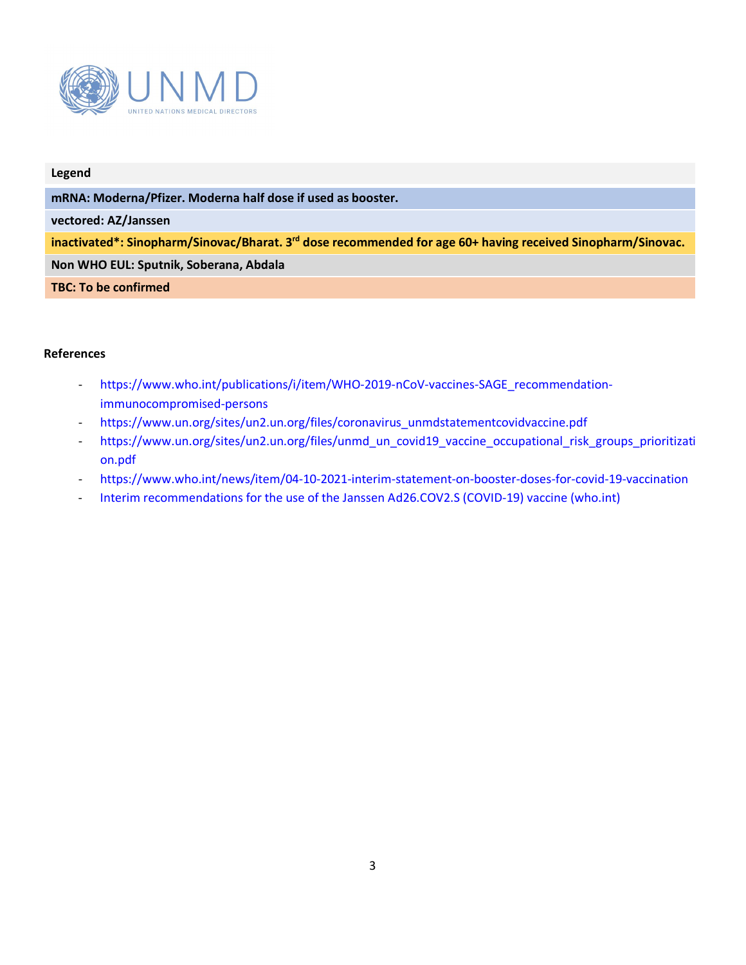

#### **Legend**

**mRNA: Moderna/Pfizer. Moderna half dose if used as booster.**

**vectored: AZ/Janssen**

**inactivated\*: Sinopharm/Sinovac/Bharat. 3rd dose recommended for age 60+ having received Sinopharm/Sinovac.**

**Non WHO EUL: Sputnik, Soberana, Abdala**

**TBC: To be confirmed**

### **References**

- [https://www.who.int/publications/i/item/WHO-2019-nCoV-vaccines-SAGE\\_recommendation](https://www.who.int/publications/i/item/WHO-2019-nCoV-vaccines-SAGE_recommendation-immunocompromised-persons)[immunocompromised-persons](https://www.who.int/publications/i/item/WHO-2019-nCoV-vaccines-SAGE_recommendation-immunocompromised-persons)
- [https://www.un.org/sites/un2.un.org/files/coronavirus\\_unmdstatementcovidvaccine.pdf](https://www.un.org/sites/un2.un.org/files/coronavirus_unmdstatementcovidvaccine.pdf)
- [https://www.un.org/sites/un2.un.org/files/unmd\\_un\\_covid19\\_vaccine\\_occupational\\_risk\\_groups\\_prioritizati](https://www.un.org/sites/un2.un.org/files/unmd_un_covid19_vaccine_occupational_risk_groups_prioritization.pdf) [on.pdf](https://www.un.org/sites/un2.un.org/files/unmd_un_covid19_vaccine_occupational_risk_groups_prioritization.pdf)
- <https://www.who.int/news/item/04-10-2021-interim-statement-on-booster-doses-for-covid-19-vaccination>
- [Interim recommendations for the use of the Janssen Ad26.COV2.S \(COVID-19\) vaccine \(who.int\)](https://www.who.int/publications/i/item/WHO-2019-nCoV-vaccines-SAGE-recommendation-Ad26.COV2.S-2021.1)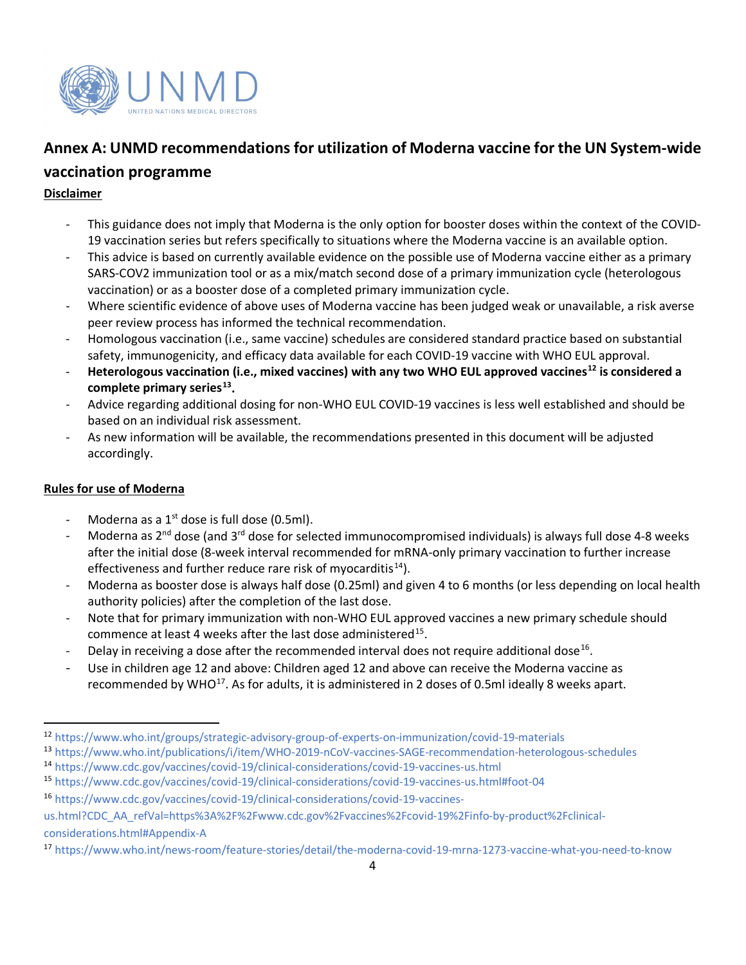

# **Annex A: UNMD recommendations for utilization of Moderna vaccine for the UN System-wide**

## **vaccination programme**

## **Disclaimer**

- This guidance does not imply that Moderna is the only option for booster doses within the context of the COVID-19 vaccination series but refers specifically to situations where the Moderna vaccine is an available option.
- This advice is based on currently available evidence on the possible use of Moderna vaccine either as a primary SARS-COV2 immunization tool or as a mix/match second dose of a primary immunization cycle (heterologous vaccination) or as a booster dose of a completed primary immunization cycle.
- Where scientific evidence of above uses of Moderna vaccine has been judged weak or unavailable, a risk averse peer review process has informed the technical recommendation.
- Homologous vaccination (i.e., same vaccine) schedules are considered standard practice based on substantial safety, immunogenicity, and efficacy data available for each COVID-19 vaccine with WHO EUL approval.
- **Heterologous vaccination (i.e., mixed vaccines) with any two WHO EUL approved vaccines[12](#page-3-0) is considered a complete primary series[13](#page-3-1).**
- Advice regarding additional dosing for non-WHO EUL COVID-19 vaccines is less well established and should be based on an individual risk assessment.
- As new information will be available, the recommendations presented in this document will be adjusted accordingly.

## **Rules for use of Moderna**

- Moderna as a  $1<sup>st</sup>$  dose is full dose (0.5ml).
- Moderna as 2<sup>nd</sup> dose (and 3<sup>rd</sup> dose for selected immunocompromised individuals) is always full dose 4-8 weeks after the initial dose (8-week interval recommended for mRNA-only primary vaccination to further increase effectiveness and further reduce rare risk of myocarditis<sup>14</sup>).
- Moderna as booster dose is always half dose (0.25ml) and given 4 to 6 months (or less depending on local health authority policies) after the completion of the last dose.
- Note that for primary immunization with non-WHO EUL approved vaccines a new primary schedule should commence at least 4 weeks after the last dose administered<sup>[15](#page-3-3)</sup>.
- Delay in receiving a dose after the recommended interval does not require additional dose<sup>[16](#page-3-4)</sup>.
- Use in children age 12 and above: Children aged 12 and above can receive the Moderna vaccine as recommended by WHO<sup>[17](#page-3-5)</sup>. As for adults, it is administered in 2 doses of 0.5ml ideally 8 weeks apart.

- <span id="page-3-1"></span><sup>13</sup> <https://www.who.int/publications/i/item/WHO-2019-nCoV-vaccines-SAGE-recommendation-heterologous-schedules> <sup>14</sup> <https://www.cdc.gov/vaccines/covid-19/clinical-considerations/covid-19-vaccines-us.html>
- <span id="page-3-3"></span><span id="page-3-2"></span><sup>15</sup> <https://www.cdc.gov/vaccines/covid-19/clinical-considerations/covid-19-vaccines-us.html#foot-04>

<span id="page-3-0"></span><sup>12</sup> <https://www.who.int/groups/strategic-advisory-group-of-experts-on-immunization/covid-19-materials>

<span id="page-3-4"></span><sup>16</sup> [https://www.cdc.gov/vaccines/covid-19/clinical-considerations/covid-19-vaccines-](https://www.cdc.gov/vaccines/covid-19/clinical-considerations/covid-19-vaccines-us.html?CDC_AA_refVal=https%3A%2F%2Fwww.cdc.gov%2Fvaccines%2Fcovid-19%2Finfo-by-product%2Fclinical-considerations.html#Appendix-A)

[us.html?CDC\\_AA\\_refVal=https%3A%2F%2Fwww.cdc.gov%2Fvaccines%2Fcovid-19%2Finfo-by-product%2Fclinical](https://www.cdc.gov/vaccines/covid-19/clinical-considerations/covid-19-vaccines-us.html?CDC_AA_refVal=https%3A%2F%2Fwww.cdc.gov%2Fvaccines%2Fcovid-19%2Finfo-by-product%2Fclinical-considerations.html#Appendix-A)[considerations.html#Appendix-A](https://www.cdc.gov/vaccines/covid-19/clinical-considerations/covid-19-vaccines-us.html?CDC_AA_refVal=https%3A%2F%2Fwww.cdc.gov%2Fvaccines%2Fcovid-19%2Finfo-by-product%2Fclinical-considerations.html#Appendix-A)

<span id="page-3-5"></span><sup>17</sup> <https://www.who.int/news-room/feature-stories/detail/the-moderna-covid-19-mrna-1273-vaccine-what-you-need-to-know>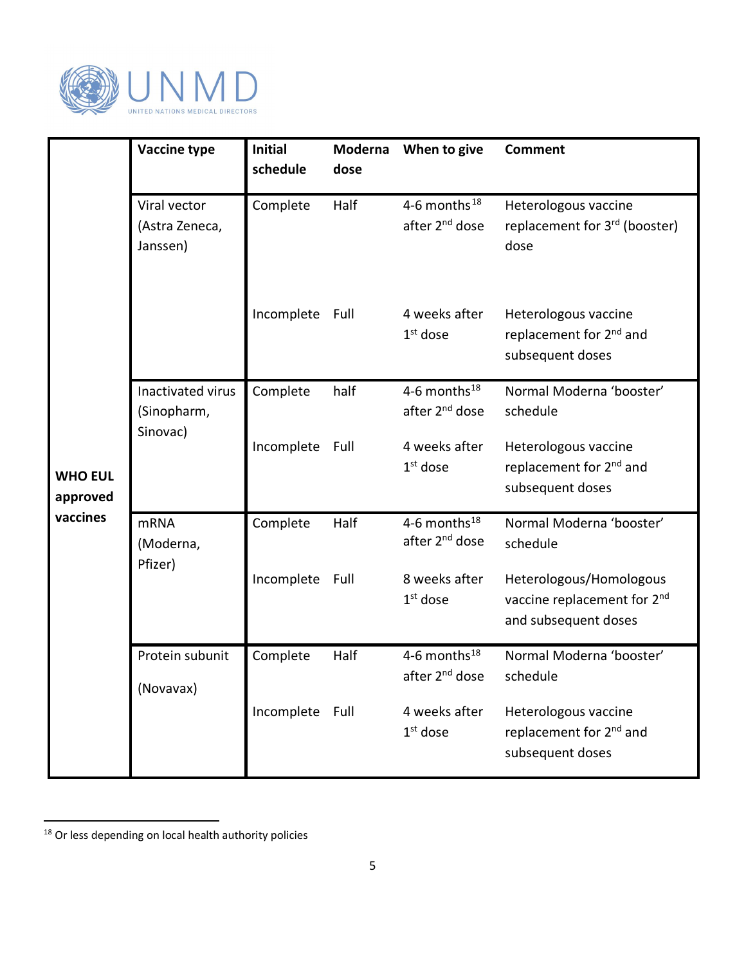

<span id="page-4-0"></span>

|                                        | Vaccine type                                 | <b>Initial</b><br>schedule | Moderna<br>dose | When to give                                     | <b>Comment</b>                                                                             |
|----------------------------------------|----------------------------------------------|----------------------------|-----------------|--------------------------------------------------|--------------------------------------------------------------------------------------------|
| <b>WHO EUL</b><br>approved<br>vaccines | Viral vector<br>(Astra Zeneca,<br>Janssen)   | Complete                   | Half            | 4-6 months $^{18}$<br>after 2 <sup>nd</sup> dose | Heterologous vaccine<br>replacement for 3rd (booster)<br>dose                              |
|                                        |                                              | Incomplete                 | Full            | 4 weeks after<br>$1st$ dose                      | Heterologous vaccine<br>replacement for 2 <sup>nd</sup> and<br>subsequent doses            |
|                                        | Inactivated virus<br>(Sinopharm,<br>Sinovac) | Complete                   | half            | 4-6 months $^{18}$<br>after 2 <sup>nd</sup> dose | Normal Moderna 'booster'<br>schedule                                                       |
|                                        |                                              | Incomplete Full            |                 | 4 weeks after<br>$1st$ dose                      | Heterologous vaccine<br>replacement for 2 <sup>nd</sup> and<br>subsequent doses            |
|                                        | <b>mRNA</b><br>(Moderna,                     | Complete                   | Half            | 4-6 months $^{18}$<br>after 2 <sup>nd</sup> dose | Normal Moderna 'booster'<br>schedule                                                       |
|                                        | Pfizer)                                      | Incomplete Full            |                 | 8 weeks after<br>$1st$ dose                      | Heterologous/Homologous<br>vaccine replacement for 2 <sup>nd</sup><br>and subsequent doses |
|                                        | Protein subunit<br>(Novavax)                 | Complete                   | Half            | 4-6 months $^{18}$<br>after 2 <sup>nd</sup> dose | Normal Moderna 'booster'<br>schedule                                                       |
|                                        |                                              | Incomplete Full            |                 | 4 weeks after<br>$1st$ dose                      | Heterologous vaccine<br>replacement for 2 <sup>nd</sup> and<br>subsequent doses            |

<span id="page-4-1"></span><sup>&</sup>lt;sup>18</sup> Or less depending on local health authority policies